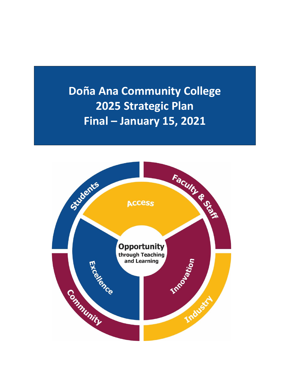**Doña Ana Community College 2025 Strategic Plan Final – January 15, 2021**

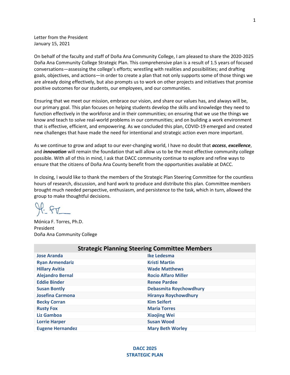Letter from the President January 15, 2021

On behalf of the faculty and staff of Doña Ana Community College, I am pleased to share the 2020-2025 Doña Ana Community College Strategic Plan. This comprehensive plan is a result of 1.5 years of focused conversations—assessing the college's efforts; wrestling with realities and possibilities; and drafting goals, objectives, and actions—in order to create a plan that not only supports some of those things we are already doing effectively, but also prompts us to work on other projects and initiatives that promise positive outcomes for our students, our employees, and our communities.

Ensuring that we meet our mission, embrace our vision, and share our values has, and always will be, our primary goal. This plan focuses on helping students develop the skills and knowledge they need to function effectively in the workforce and in their communities; on ensuring that we use the things we know and teach to solve real-world problems in our communities; and on building a work environment that is effective, efficient, and empowering. As we concluded this plan, COVID-19 emerged and created new challenges that have made the need for intentional and strategic action even more important.

As we continue to grow and adapt to our ever-changing world, I have no doubt that *access*, *excellence*, and *innovation* will remain the foundation that will allow us to be the most effective community college possible. With all of this in mind, I ask that DACC community continue to explore and refine ways to ensure that the citizens of Doña Ana County benefit from the opportunities available at DACC.

In closing, I would like to thank the members of the Strategic Plan Steering Committee for the countless hours of research, discussion, and hard work to produce and distribute this plan. Committee members brought much needed perspective, enthusiasm, and persistence to the task, which in turn, allowed the group to make thoughtful decisions.

 $H - FV$ 

Mónica F. Torres, Ph.D. President Doña Ana Community College

| <b>Strategic Planning Steering Committee Members</b> |                               |
|------------------------------------------------------|-------------------------------|
| <b>Jose Aranda</b>                                   | Ike Ledesma                   |
| <b>Ryan Armendariz</b>                               | <b>Kristi Martin</b>          |
| <b>Hillary Avitia</b>                                | <b>Wade Matthews</b>          |
| <b>Alejandro Bernal</b>                              | <b>Rocio Alfaro Miller</b>    |
| <b>Eddie Binder</b>                                  | <b>Renee Pardee</b>           |
| <b>Susan Bontly</b>                                  | <b>Debasmita Roychowdhury</b> |
| <b>Josefina Carmona</b>                              | <b>Hiranya Roychowdhury</b>   |
| <b>Becky Corran</b>                                  | <b>Kim Seifert</b>            |
| <b>Rusty Fox</b>                                     | <b>Maria Torres</b>           |
| Liz Gamboa                                           | <b>Xiaojing Wei</b>           |
| <b>Lorrie Harper</b>                                 | <b>Susan Wood</b>             |
| <b>Eugene Hernandez</b>                              | <b>Mary Beth Worley</b>       |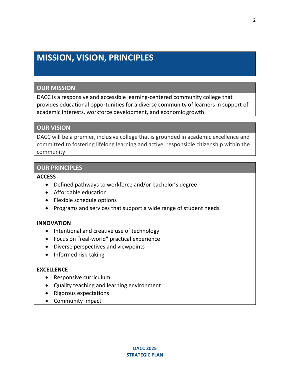# **MISSION, VISION, PRINCIPLES**

# **OUR MISSION**

DACC is a responsive and accessible learning-centered community college that provides educational opportunities for a diverse community of learners in support of academic interests, workforce development, and economic growth.

# **OUR VISION**

DACC will be a premier, inclusive college that is grounded in academic excellence and committed to fostering lifelong learning and active, responsible citizenship within the community

# **OUR PRINCIPLES**

# **ACCESS**

- Defined pathways to workforce and/or bachelor's degree
- Affordable education
- Flexible schedule options
- Programs and services that support a wide range of student needs

# **INNOVATION**

- Intentional and creative use of technology
- Focus on "real-world" practical experience
- Diverse perspectives and viewpoints
- Informed risk-taking

# **EXCELLENCE**

- Responsive curriculum
- Quality teaching and learning environment
- Rigorous expectations
- Community impact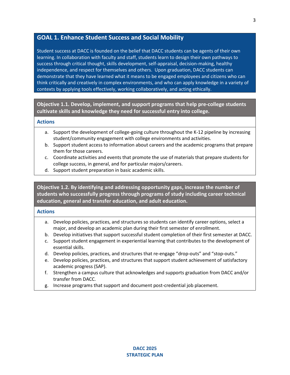# **GOAL 1. Enhance Student Success and Social Mobility**

Student success at DACC is founded on the belief that DACC students can be agents of their own learning. In collaboration with faculty and staff, students learn to design their own pathways to success through critical thought, skills development, self-appraisal, decision-making, healthy independence, and respect for themselves and others. Upon graduation, DACC students can demonstrate that they have learned what it means to be engaged employees and citizens who can think critically and creatively in complex environments, and who can apply knowledge in a variety of contexts by applying tools effectively, working collaboratively, and acting ethically.

**Objective 1.1. Develop, implement, and support programs that help pre-college students cultivate skills and knowledge they need for successful entry into college.**

#### **Actions**

- a. Support the development of college-going culture throughout the K-12 pipeline by increasing student/community engagement with college environments and activities.
- b. Support student access to information about careers and the academic programs that prepare them for those careers.
- c. Coordinate activities and events that promote the use of materials that prepare students for college success, in general, and for particular majors/careers.
- d. Support student preparation in basic academic skills.

**Objective 1.2. By identifying and addressing opportunity gaps, increase the number of students who successfully progress through programs of study including career technical education, general and transfer education, and adult education.** 

#### **Actions**

- a. Develop policies, practices, and structures so students can identify career options, select a major, and develop an academic plan during their first semester of enrollment.
- b. Develop initiatives that support successful student completion of their first semester at DACC.
- c. Support student engagement in experiential learning that contributes to the development of essential skills.
- d. Develop policies, practices, and structures that re-engage "drop-outs" and "stop-outs."
- e. Develop policies, practices, and structures that support student achievement of satisfactory academic progress (SAP).
- f. Strengthen a campus culture that acknowledges and supports graduation from DACC and/or transfer from DACC.
- g. Increase programs that support and document post-credential job placement.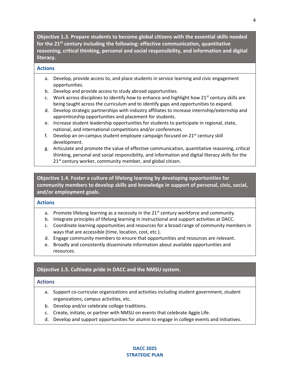**Objective 1.3. Prepare students to become global citizens with the essential skills needed for the 21st century including the following: effective communication, quantitative reasoning, critical thinking, personal and social responsibility, and information and digital literacy.** 

## **Actions**

- a. Develop, provide access to, and place students in service learning and civic engagement opportunities.
- b. Develop and provide access to study abroad opportunities.
- c. Work across disciplines to identify how to enhance and highlight how  $21^{st}$  century skills are being taught across the curriculum and to identify gaps and opportunities to expand.
- d. Develop strategic partnerships with industry affiliates to increase internship/externship and apprenticeship opportunities and placement for students.
- e. Increase student leadership opportunities for students to participate in regional, state, national, and international competitions and/or conferences.
- f. Develop an on-campus student employee campaign focused on  $21^{st}$  century skill development.
- g. Articulate and promote the value of effective communication, quantitative reasoning, critical thinking, personal and social responsibility, and information and digital literacy skills for the  $21<sup>st</sup>$  century worker, community member, and global citizen.

**Objective 1.4. Foster a culture of lifelong learning by developing opportunities for community members to develop skills and knowledge in support of personal, civic, social, and/or employment goals.** 

# **Actions**

- a. Promote lifelong learning as a necessity in the  $21<sup>st</sup>$  century workforce and community.
- b. Integrate principles of lifelong learning in instructional and support activities at DACC.
- c. Coordinate learning opportunities and resources for a broad range of community members in ways that are accessible (time, location, cost, etc.).
- d. Engage community members to ensure that opportunities and resources are relevant.
- e. Broadly and consistently disseminate information about available opportunities and resources.

# **Objective 1.5. Cultivate pride in DACC and the NMSU system.**

## **Actions**

- a. Support co-curricular organizations and activities including student government, student organizations, campus activities, etc.
- b. Develop and/or celebrate college traditions.
- c. Create, initiate, or partner with NMSU on events that celebrate Aggie Life.
- d. Develop and support opportunities for alumni to engage in college events and initiatives.

# **DACC 2025 STRATEGIC PLAN**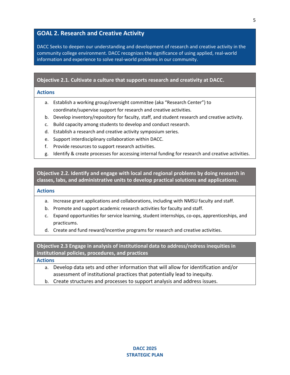# **GOAL 2. Research and Creative Activity**

DACC Seeks to deepen our understanding and development of research and creative activity in the community college environment. DACC recognizes the significance of using applied, real-world information and experience to solve real-world problems in our community.

#### **Objective 2.1. Cultivate a culture that supports research and creativity at DACC.**

#### **Actions**

- a. Establish a working group/oversight committee (aka "Research Center") to coordinate/supervise support for research and creative activities.
- b. Develop inventory/repository for faculty, staff, and student research and creative activity.
- c. Build capacity among students to develop and conduct research.
- d. Establish a research and creative activity symposium series.
- e. Support interdisciplinary collaboration within DACC.
- f. Provide resources to support research activities.
- g. Identify & create processes for accessing internal funding for research and creative activities.

**Objective 2.2. Identify and engage with local and regional problems by doing research in classes, labs, and administrative units to develop practical solutions and applications.**

#### **Actions**

- a. Increase grant applications and collaborations, including with NMSU faculty and staff.
- b. Promote and support academic research activities for faculty and staff.
- c. Expand opportunities for service learning, student internships, co-ops, apprenticeships, and practicums.
- d. Create and fund reward/incentive programs for research and creative activities.

**Objective 2.3 Engage in analysis of institutional data to address/redress inequities in institutional policies, procedures, and practices**

**Actions**

- a. Develop data sets and other information that will allow for identification and/or assessment of institutional practices that potentially lead to inequity.
- b. Create structures and processes to support analysis and address issues.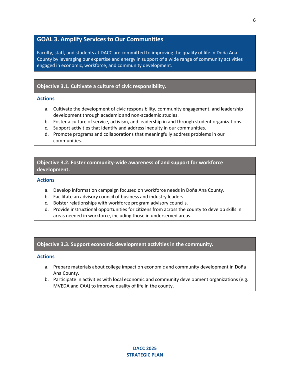# **GOAL 3. Amplify Services to Our Communities**

Faculty, staff, and students at DACC are committed to improving the quality of life in Doña Ana County by leveraging our expertise and energy in support of a wide range of community activities engaged in economic, workforce, and community development.

## **Objective 3.1. Cultivate a culture of civic responsibility.**

#### **Actions**

- a. Cultivate the development of civic responsibility, community engagement, and leadership development through academic and non-academic studies.
- b. Foster a culture of service, activism, and leadership in and through student organizations.
- c. Support activities that identify and address inequity in our communities.
- d. Promote programs and collaborations that meaningfully address problems in our communities.

## **Objective 3.2. Foster community-wide awareness of and support for workforce development.**

#### **Actions**

- a. Develop information campaign focused on workforce needs in Doña Ana County.
- b. Facilitate an advisory council of business and industry leaders.
- c. Bolster relationships with workforce program advisory councils.
- d. Provide instructional opportunities for citizens from across the county to develop skills in areas needed in workforce, including those in underserved areas.

## **Objective 3.3. Support economic development activities in the community.**

#### **Actions**

- a. Prepare materials about college impact on economic and community development in Doña Ana County.
- b. Participate in activities with local economic and community development organizations (e.g. MVEDA and CAA) to improve quality of life in the county.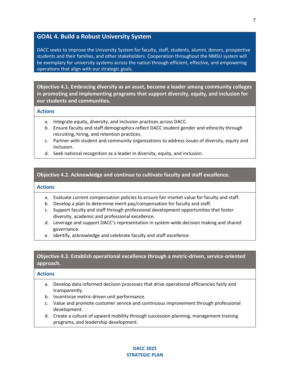# **GOAL 4. Build a Robust University System**

DACC seeks to improve the University System for faculty, staff, students, alumni, donors, prospective students and their families, and other stakeholders. Cooperation throughout the NMSU system will be exemplary for university systems across the nation through efficient, effective, and empowering operations that align with our strategic goals.

**Objective 4.1. Embracing diversity as an asset, become a leader among community colleges in promoting and implementing programs that support diversity, equity, and inclusion for our students and communities.** 

#### **Actions**

- a. Integrate equity, diversity, and inclusion practices across DACC.
- b. Ensure faculty and staff demographics reflect DACC student gender and ethnicity through recruiting, hiring, and retention practices.
- c. Partner with student and community organizations to address issues of diversity, equity and inclusion.
- d. Seek national recognition as a leader in diversity, equity, and inclusion.

## **Objective 4.2. Acknowledge and continue to cultivate faculty and staff excellence.**

## **Actions**

- a. Evaluate current compensation policies to ensure fair-market value for faculty and staff.
- b. Develop a plan to determine merit pay/compensation for faculty and staff.
- c. Support faculty and staff through professional development opportunities that foster diversity, academic and professional excellence.
- d. Leverage and support DACC's representation in system-wide decision making and shared governance.
- e. Identify, acknowledge and celebrate faculty and staff excellence.

# **Objective 4.3. Establish operational excellence through a metric-driven, service-oriented approach.**

## **Actions**

- a. Develop data informed decision processes that drive operational efficiencies fairly and transparently.
- b. Incentivize metric-driven unit performance.
- c. Value and promote customer service and continuous improvement through professional development.
- d. Create a culture of upward mobility through succession planning, management training programs, and leadership development.

#### **DACC 2025 STRATEGIC PLAN**